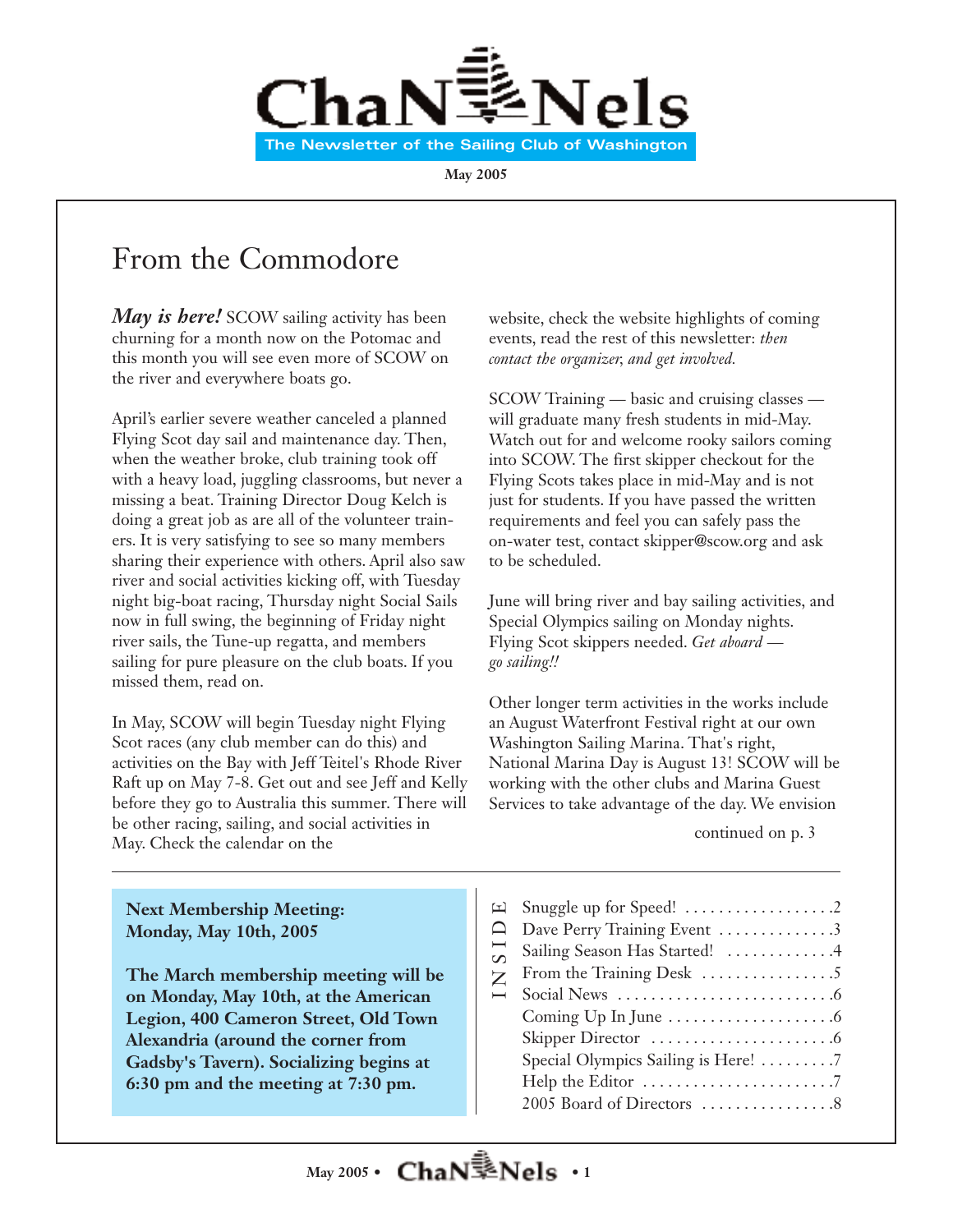

**May 2005**

## From the Commodore

*May is here!* SCOW sailing activity has been churning for a month now on the Potomac and this month you will see even more of SCOW on the river and everywhere boats go.

April's earlier severe weather canceled a planned Flying Scot day sail and maintenance day. Then, when the weather broke, club training took off with a heavy load, juggling classrooms, but never a missing a beat. Training Director Doug Kelch is doing a great job as are all of the volunteer trainers. It is very satisfying to see so many members sharing their experience with others. April also saw river and social activities kicking off, with Tuesday night big-boat racing, Thursday night Social Sails now in full swing, the beginning of Friday night river sails, the Tune-up regatta, and members sailing for pure pleasure on the club boats. If you missed them, read on.

In May, SCOW will begin Tuesday night Flying Scot races (any club member can do this) and activities on the Bay with Jeff Teitel's Rhode River Raft up on May 7-8. Get out and see Jeff and Kelly before they go to Australia this summer. There will be other racing, sailing, and social activities in May. Check the calendar on the

website, check the website highlights of coming events, read the rest of this newsletter: *then contact the organizer, and get involved.*

SCOW Training — basic and cruising classes will graduate many fresh students in mid-May. Watch out for and welcome rooky sailors coming into SCOW. The first skipper checkout for the Flying Scots takes place in mid-May and is not just for students. If you have passed the written requirements and feel you can safely pass the on-water test, contact skipper@scow.org and ask to be scheduled.

June will bring river and bay sailing activities, and Special Olympics sailing on Monday nights. Flying Scot skippers needed. *Get aboard go sailing!!*

Other longer term activities in the works include an August Waterfront Festival right at our own Washington Sailing Marina. That's right, National Marina Day is August 13! SCOW will be working with the other clubs and Marina Guest Services to take advantage of the day. We envision

continued on p. 3

**Next Membership Meeting: Monday, May 10th, 2005**

**The March membership meeting will be on Monday, May 10th, at the American Legion, 400 Cameron Street, Old Town Alexandria (around the corner from Gadsby's Tavern). Socializing begins at 6:30 pm and the meeting at 7:30 pm.**

| ㅁ                        |                                                       |
|--------------------------|-------------------------------------------------------|
| $\Box$                   | Dave Perry Training Event 3                           |
| $\overline{1}$           | Sailing Season Has Started! 4                         |
| Z                        |                                                       |
| $\overline{\phantom{0}}$ |                                                       |
|                          |                                                       |
|                          |                                                       |
|                          | Special Olympics Sailing is Here! 7                   |
|                          | Help the Editor $\dots\dots\dots\dots\dots\dots\dots$ |
|                          | 2005 Board of Directors 8                             |
|                          |                                                       |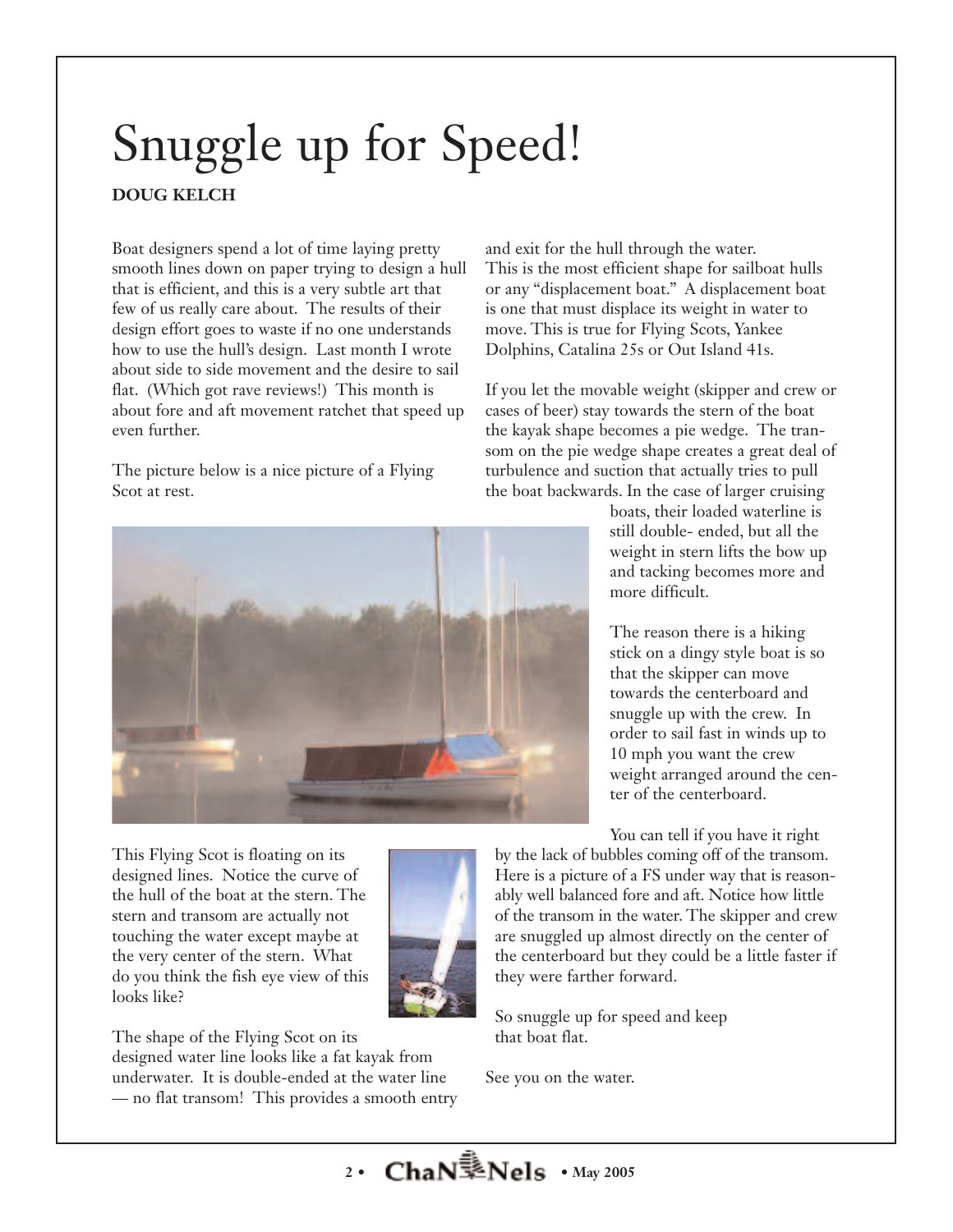# Snuggle up for Speed!

## **DOUG KELCH**

Boat designers spend a lot of time laying pretty smooth lines down on paper trying to design a hull that is efficient, and this is a very subtle art that few of us really care about. The results of their design effort goes to waste if no one understands how to use the hull's design. Last month I wrote about side to side movement and the desire to sail flat. (Which got rave reviews!) This month is about fore and aft movement ratchet that speed up even further.

The picture below is a nice picture of a Flying Scot at rest.



This Flying Scot is floating on its designed lines. Notice the curve of the hull of the boat at the stern. The stern and transom are actually not touching the water except maybe at the very center of the stern. What do you think the fish eye view of this looks like?



The shape of the Flying Scot on its designed water line looks like a fat kayak from underwater. It is double-ended at the water line — no flat transom! This provides a smooth entry

and exit for the hull through the water. This is the most efficient shape for sailboat hulls or any "displacement boat." A displacement boat is one that must displace its weight in water to move. This is true for Flying Scots, Yankee Dolphins, Catalina 25s or Out Island 41s.

If you let the movable weight (skipper and crew or cases of beer) stay towards the stern of the boat the kayak shape becomes a pie wedge. The transom on the pie wedge shape creates a great deal of turbulence and suction that actually tries to pull the boat backwards. In the case of larger cruising

> boats, their loaded waterline is still double- ended, but all the weight in stern lifts the bow up and tacking becomes more and more difficult.

The reason there is a hiking stick on a dingy style boat is so that the skipper can move towards the centerboard and snuggle up with the crew. In order to sail fast in winds up to 10 mph you want the crew weight arranged around the center of the centerboard.

You can tell if you have it right

by the lack of bubbles coming off of the transom. Here is a picture of a FS under way that is reasonably well balanced fore and aft. Notice how little of the transom in the water. The skipper and crew are snuggled up almost directly on the center of the centerboard but they could be a little faster if they were farther forward.

So snuggle up for speed and keep that boat flat.

See you on the water.

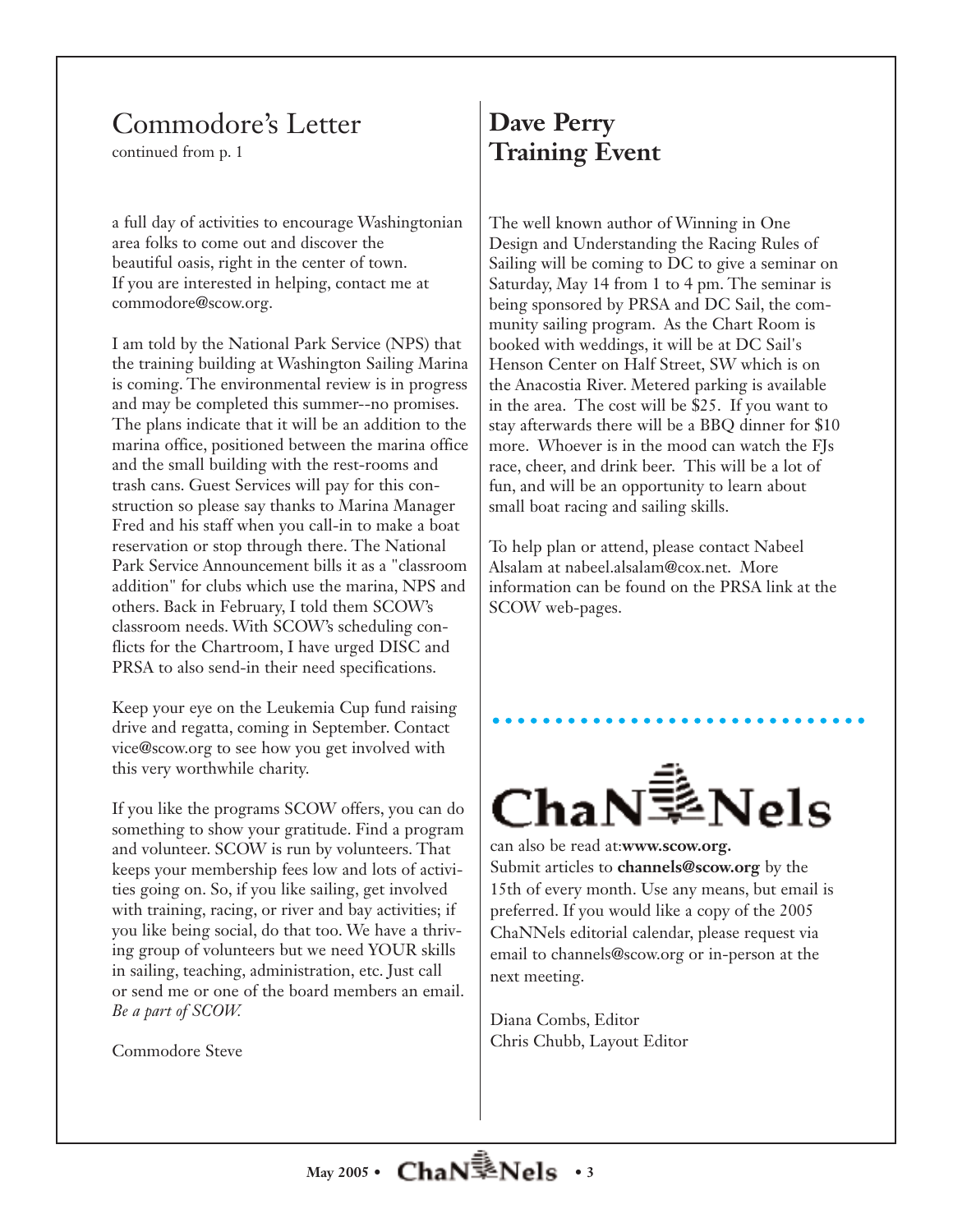## Commodore's Letter

continued from p. 1

a full day of activities to encourage Washingtonian area folks to come out and discover the beautiful oasis, right in the center of town. If you are interested in helping, contact me at commodore@scow.org.

I am told by the National Park Service (NPS) that the training building at Washington Sailing Marina is coming. The environmental review is in progress and may be completed this summer--no promises. The plans indicate that it will be an addition to the marina office, positioned between the marina office and the small building with the rest-rooms and trash cans. Guest Services will pay for this construction so please say thanks to Marina Manager Fred and his staff when you call-in to make a boat reservation or stop through there. The National Park Service Announcement bills it as a "classroom addition" for clubs which use the marina, NPS and others. Back in February, I told them SCOW's classroom needs. With SCOW's scheduling conflicts for the Chartroom, I have urged DISC and PRSA to also send-in their need specifications.

Keep your eye on the Leukemia Cup fund raising drive and regatta, coming in September. Contact vice@scow.org to see how you get involved with this very worthwhile charity.

If you like the programs SCOW offers, you can do something to show your gratitude. Find a program and volunteer. SCOW is run by volunteers. That keeps your membership fees low and lots of activities going on. So, if you like sailing, get involved with training, racing, or river and bay activities; if you like being social, do that too. We have a thriving group of volunteers but we need YOUR skills in sailing, teaching, administration, etc. Just call or send me or one of the board members an email. *Be a part of SCOW.*

Commodore Steve

## **Dave Perry Training Event**

The well known author of Winning in One Design and Understanding the Racing Rules of Sailing will be coming to DC to give a seminar on Saturday, May 14 from 1 to 4 pm. The seminar is being sponsored by PRSA and DC Sail, the community sailing program. As the Chart Room is booked with weddings, it will be at DC Sail's Henson Center on Half Street, SW which is on the Anacostia River. Metered parking is available in the area. The cost will be \$25. If you want to stay afterwards there will be a BBQ dinner for \$10 more. Whoever is in the mood can watch the FJs race, cheer, and drink beer. This will be a lot of fun, and will be an opportunity to learn about small boat racing and sailing skills.

To help plan or attend, please contact Nabeel Alsalam at nabeel.alsalam@cox.net. More information can be found on the PRSA link at the SCOW web-pages.



can also be read at:**www.scow.org.** Submit articles to **channels@scow.org** by the 15th of every month. Use any means, but email is preferred. If you would like a copy of the 2005 ChaNNels editorial calendar, please request via email to channels@scow.org or in-person at the next meeting.

Diana Combs, Editor Chris Chubb, Layout Editor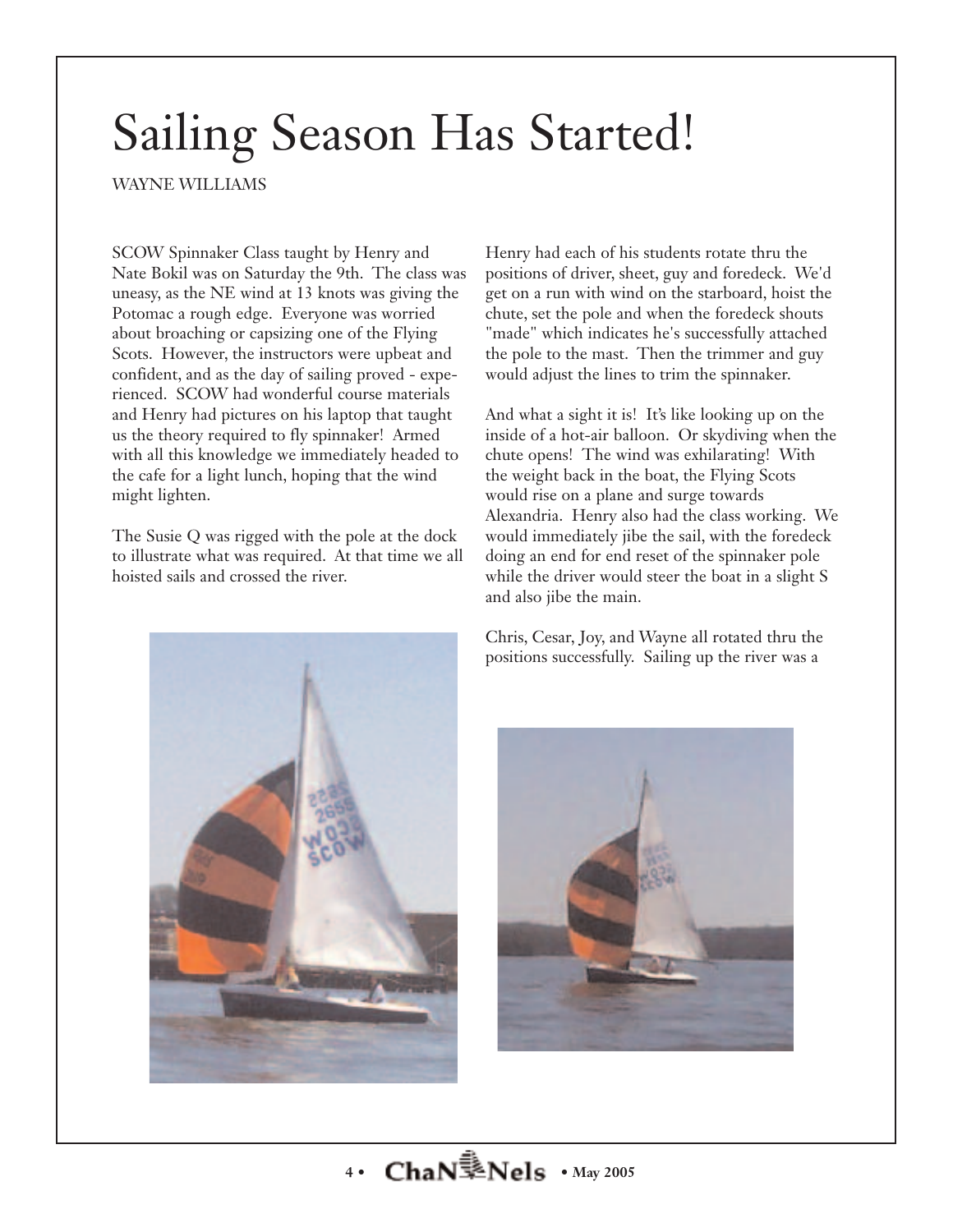## Sailing Season Has Started!

WAYNE WILLIAMS

SCOW Spinnaker Class taught by Henry and Nate Bokil was on Saturday the 9th. The class was uneasy, as the NE wind at 13 knots was giving the Potomac a rough edge. Everyone was worried about broaching or capsizing one of the Flying Scots. However, the instructors were upbeat and confident, and as the day of sailing proved - experienced. SCOW had wonderful course materials and Henry had pictures on his laptop that taught us the theory required to fly spinnaker! Armed with all this knowledge we immediately headed to the cafe for a light lunch, hoping that the wind might lighten.

The Susie Q was rigged with the pole at the dock to illustrate what was required. At that time we all hoisted sails and crossed the river.

Henry had each of his students rotate thru the positions of driver, sheet, guy and foredeck. We'd get on a run with wind on the starboard, hoist the chute, set the pole and when the foredeck shouts "made" which indicates he's successfully attached the pole to the mast. Then the trimmer and guy would adjust the lines to trim the spinnaker.

And what a sight it is! It's like looking up on the inside of a hot-air balloon. Or skydiving when the chute opens! The wind was exhilarating! With the weight back in the boat, the Flying Scots would rise on a plane and surge towards Alexandria. Henry also had the class working. We would immediately jibe the sail, with the foredeck doing an end for end reset of the spinnaker pole while the driver would steer the boat in a slight S and also jibe the main.



Chris, Cesar, Joy, and Wayne all rotated thru the positions successfully. Sailing up the river was a

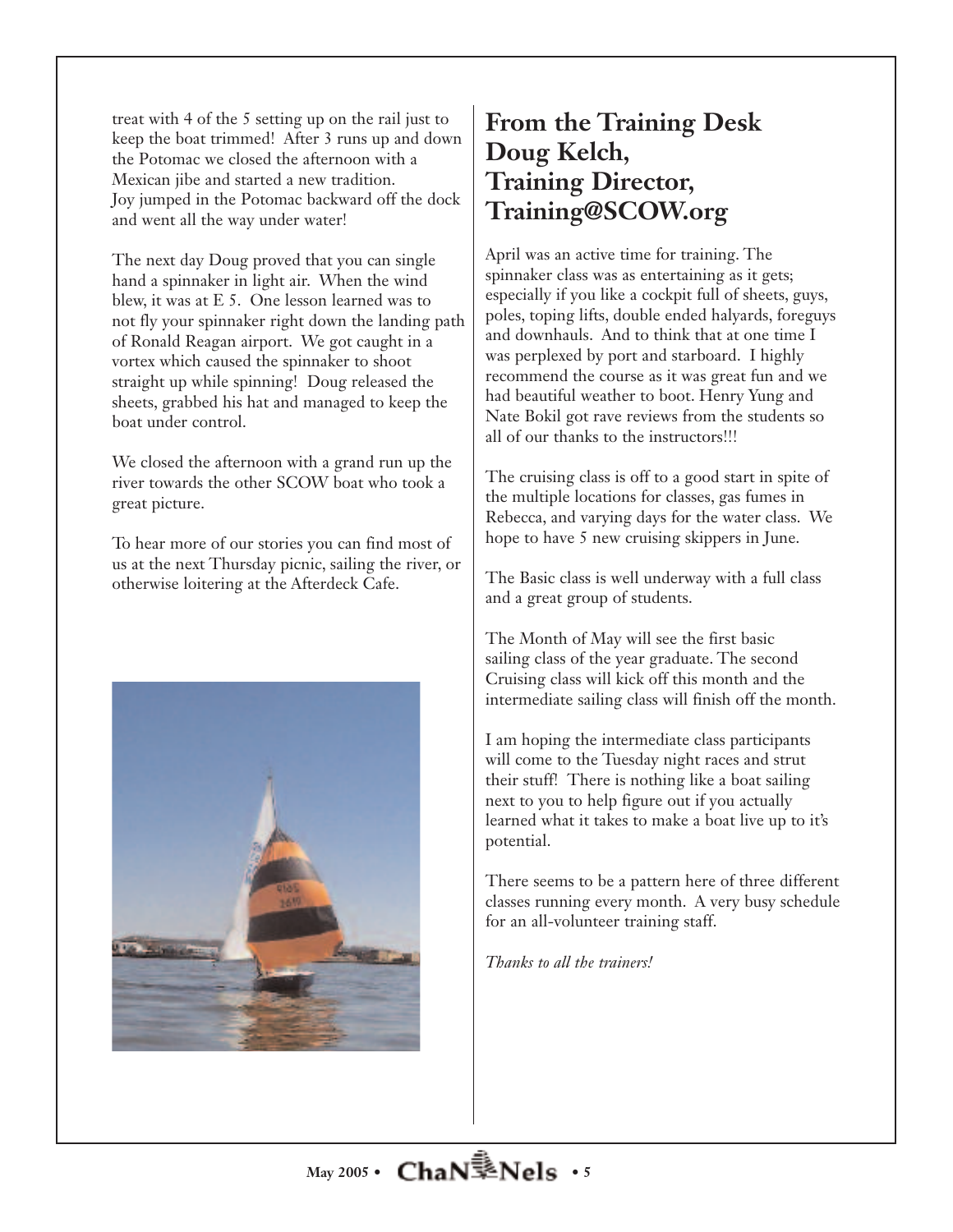treat with 4 of the 5 setting up on the rail just to keep the boat trimmed! After 3 runs up and down the Potomac we closed the afternoon with a Mexican jibe and started a new tradition. Joy jumped in the Potomac backward off the dock and went all the way under water!

The next day Doug proved that you can single hand a spinnaker in light air. When the wind blew, it was at E 5. One lesson learned was to not fly your spinnaker right down the landing path of Ronald Reagan airport. We got caught in a vortex which caused the spinnaker to shoot straight up while spinning! Doug released the sheets, grabbed his hat and managed to keep the boat under control.

We closed the afternoon with a grand run up the river towards the other SCOW boat who took a great picture.

To hear more of our stories you can find most of us at the next Thursday picnic, sailing the river, or otherwise loitering at the Afterdeck Cafe.



## **From the Training Desk Doug Kelch, Training Director, Training@SCOW.org**

April was an active time for training. The spinnaker class was as entertaining as it gets; especially if you like a cockpit full of sheets, guys, poles, toping lifts, double ended halyards, foreguys and downhauls. And to think that at one time I was perplexed by port and starboard. I highly recommend the course as it was great fun and we had beautiful weather to boot. Henry Yung and Nate Bokil got rave reviews from the students so all of our thanks to the instructors!!!

The cruising class is off to a good start in spite of the multiple locations for classes, gas fumes in Rebecca, and varying days for the water class. We hope to have 5 new cruising skippers in June.

The Basic class is well underway with a full class and a great group of students.

The Month of May will see the first basic sailing class of the year graduate. The second Cruising class will kick off this month and the intermediate sailing class will finish off the month.

I am hoping the intermediate class participants will come to the Tuesday night races and strut their stuff! There is nothing like a boat sailing next to you to help figure out if you actually learned what it takes to make a boat live up to it's potential.

There seems to be a pattern here of three different classes running every month. A very busy schedule for an all-volunteer training staff.

*Thanks to all the trainers!*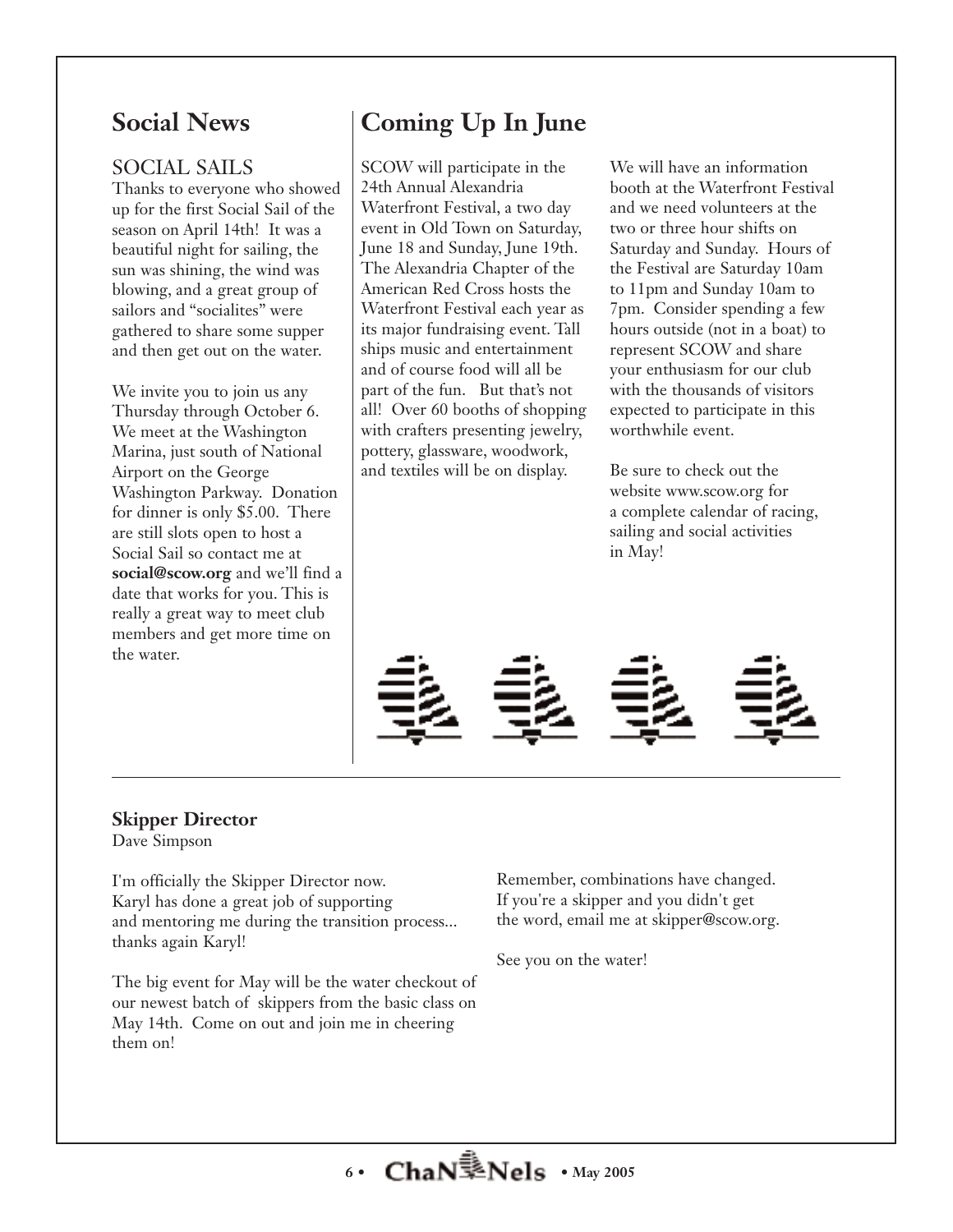## **Social News**

## SOCIAL SAILS

Thanks to everyone who showed up for the first Social Sail of the season on April 14th! It was a beautiful night for sailing, the sun was shining, the wind was blowing, and a great group of sailors and "socialites" were gathered to share some supper and then get out on the water.

We invite you to join us any Thursday through October 6. We meet at the Washington Marina, just south of National Airport on the George Washington Parkway. Donation for dinner is only \$5.00. There are still slots open to host a Social Sail so contact me at **social@scow.org** and we'll find a date that works for you. This is really a great way to meet club members and get more time on the water.

## **Coming Up In June**

SCOW will participate in the 24th Annual Alexandria Waterfront Festival, a two day event in Old Town on Saturday, June 18 and Sunday, June 19th. The Alexandria Chapter of the American Red Cross hosts the Waterfront Festival each year as its major fundraising event. Tall ships music and entertainment and of course food will all be part of the fun. But that's not all! Over 60 booths of shopping with crafters presenting jewelry, pottery, glassware, woodwork, and textiles will be on display.

We will have an information booth at the Waterfront Festival and we need volunteers at the two or three hour shifts on Saturday and Sunday. Hours of the Festival are Saturday 10am to 11pm and Sunday 10am to 7pm. Consider spending a few hours outside (not in a boat) to represent SCOW and share your enthusiasm for our club with the thousands of visitors expected to participate in this worthwhile event.

Be sure to check out the website www.scow.org for a complete calendar of racing, sailing and social activities in May!



#### **Skipper Director** Dave Simpson

thanks again Karyl!

I'm officially the Skipper Director now. Karyl has done a great job of supporting and mentoring me during the transition process...

The big event for May will be the water checkout of our newest batch of skippers from the basic class on May 14th. Come on out and join me in cheering them on!

Remember, combinations have changed. If you're a skipper and you didn't get the word, email me at skipper@scow.org.

See you on the water!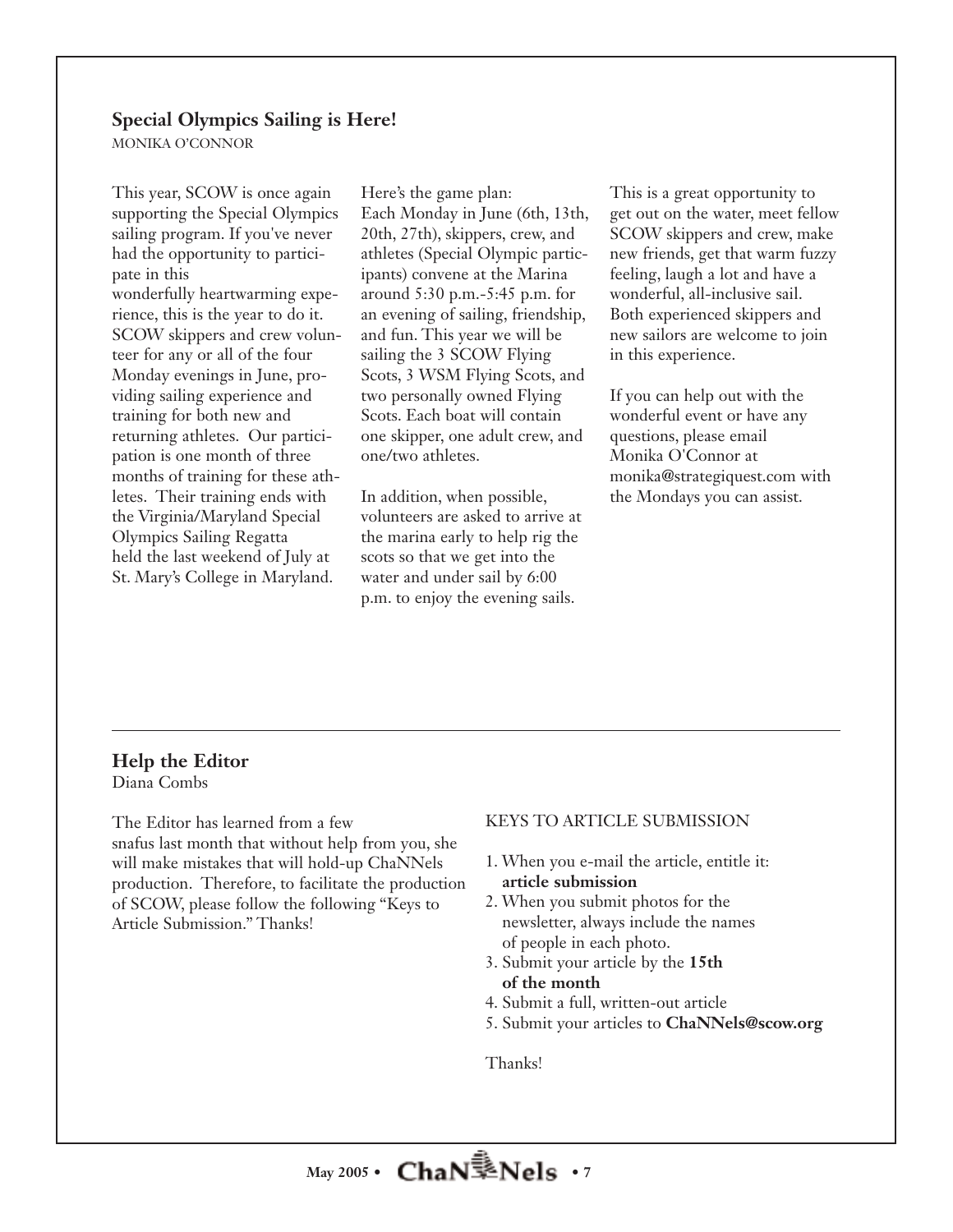### **Special Olympics Sailing is Here!**

MONIKA O'CONNOR

This year, SCOW is once again supporting the Special Olympics sailing program. If you've never had the opportunity to participate in this wonderfully heartwarming experience, this is the year to do it. SCOW skippers and crew volunteer for any or all of the four Monday evenings in June, providing sailing experience and training for both new and returning athletes. Our participation is one month of three months of training for these athletes. Their training ends with the Virginia/Maryland Special Olympics Sailing Regatta held the last weekend of July at St. Mary's College in Maryland.

Here's the game plan: Each Monday in June (6th, 13th, 20th, 27th), skippers, crew, and athletes (Special Olympic participants) convene at the Marina around 5:30 p.m.-5:45 p.m. for an evening of sailing, friendship, and fun. This year we will be sailing the 3 SCOW Flying Scots, 3 WSM Flying Scots, and two personally owned Flying Scots. Each boat will contain one skipper, one adult crew, and one/two athletes.

In addition, when possible, volunteers are asked to arrive at the marina early to help rig the scots so that we get into the water and under sail by 6:00 p.m. to enjoy the evening sails.

This is a great opportunity to get out on the water, meet fellow SCOW skippers and crew, make new friends, get that warm fuzzy feeling, laugh a lot and have a wonderful, all-inclusive sail. Both experienced skippers and new sailors are welcome to join in this experience.

If you can help out with the wonderful event or have any questions, please email Monika O'Connor at monika@strategiquest.com with the Mondays you can assist.

#### **Help the Editor** Diana Combs

The Editor has learned from a few snafus last month that without help from you, she will make mistakes that will hold-up ChaNNels production. Therefore, to facilitate the production of SCOW, please follow the following "Keys to Article Submission." Thanks!

#### KEYS TO ARTICLE SUBMISSION

- 1. When you e-mail the article, entitle it: **article submission**
- 2. When you submit photos for the newsletter, always include the names of people in each photo.
- 3. Submit your article by the **15th of the month**
- 4. Submit a full, written-out article
- 5. Submit your articles to **ChaNNels@scow.org**

Thanks!